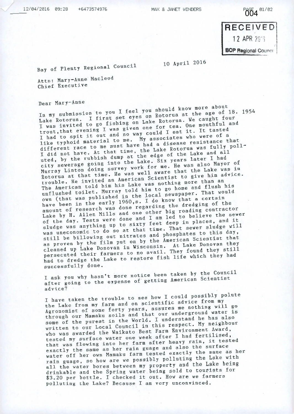PAGE 4 81/82

RECEIVED 12 APR 2018 **BOP Regional Councry** 

## Bay of Plenty Regional Council

10 April 2016

Attn: Mary-Anne Macleod Chief Executive

## Dear Mary-Anne

In my submission to you I feel you should know more about<br>Lake Rotorua. I first set eyes on Rotorua at the age of 18. 1954 In my submission to you I feel you should know more about I was invited to go fishing on Lake Rotorua. We caught four for tea. One mouthful and trout, that evening I was given one for east it. It tasted I had to spit it out and no way could 1 cas who were of a I had to spit is to me. My associate<br>like typhoid material to me. My associate different race to me must have had a disease resistance that to me must have had a disease resistance that qitierent race. At that time, the Lake Rotorua was  $\frac{1}{2}$ uted, by the rubbish dump at the edge of the Lake and all uted, by the raccrease into the Lake. Six years rater I had<br>city sewerage going into the Lake. He was also Mayor Murray Linton doing survey work for me. He was also Mayor of<br>Rotorua at that time. He was well aware that the Lake was in  $R_{\text{inter}}$  and  $R_{\text{inter}}$  are that time. He was well aware that the eight him advice. kotorua at thus ised an American Scientist to give him an.<br>trouble. He invited an American Scienting more than an The American told him his Lake was nothing more than an<br>unflushed toilet. Murray told him to go home and flush his ine american<br>unflushed toilet. Murray told him to go nome and flushed toilet.<br>own (that was published in the local newspaper. That would have been in the early  $1960, s.$  I do know that a certain amount of research was done regarding the dredging of the ly 1960,s. I do know that a certain<br>as done regarding the dredging of the<br>interests in reading contracto Lake by H. Allen Mills and one other pig 'oading contractor of the day. Tests were done and I am led to believe the sewer<br>sludge was anything up to sixty feet deep in places, and it  $\frac{1}{2}$  and  $\frac{1}{2}$  anything up to sixty feet deep in places, and  $\frac{1}{2}$  will sludge was anything up to sixty feet deep in practs, showill<br>was uneconomic to do so at that time. That sewer sludge will still be billowing out nitrates and phosphates to this day, as proven by the film put on by the American Scientist that as proven by conovan in Wisconsin. At Lake Donovan they persecuted their farmers to no avail. They found they served had to dredge the Lake to restore fish life which they had successfullY done.

I ask you why hasn't more notice been taken by the Council after going to the expense of getting American Scientist advice?

I have taken the trouble to see how I could possibly polute the Lake from my farm and on scientific advice from my Agronomist of some forty years, assures me nothing will go through our Mamaku soils and that our underground water is some of the purest in the World. I understand he has also written to our Local Council in this respect. My neighbour who was awarded the Waikato Best Farm Environment Award, tested my surface water one week after I had fertilised, that was flowing into her farm after heavy rain, it tested exactly the same as her rain guage and also the surface water off her own Mamaku farm tested exactly the same as her rain guage, so how are we possibly polluting the Lake with all the water bores between my property and the Lake being drinkable and the Spring water being sold to tourists for \$3.20 per bottle. I checked it out. How are we farmers polluting the Lake? Because I am very unconvinced.